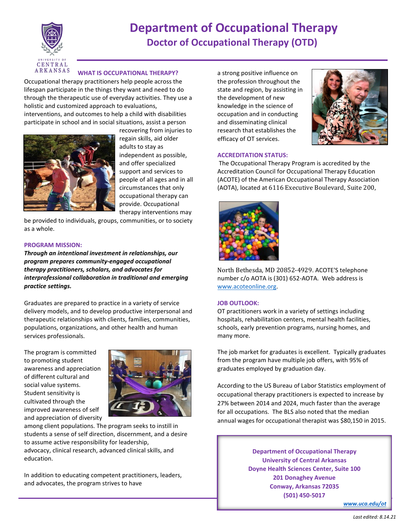

# **Department of Occupational Therapy Doctor of Occupational Therapy (OTD)**

## **WHAT IS OCCUPATIONAL THERAPY?**

Occupational therapy practitioners help people across the lifespan participate in the things they want and need to do through the therapeutic use of everyday activities. They use a holistic and customized approach to evaluations, interventions, and outcomes to help a child with disabilities participate in school and in social situations, assist a person



recovering from injuries to regain skills, aid older adults to stay as independent as possible, and offer specialized support and services to people of all ages and in all circumstances that only occupational therapy can provide. Occupational therapy interventions may

be provided to individuals, groups, communities, or to society as a whole.

#### **PROGRAM MISSION:**

*Through an intentional investment in relationships, our program prepares community-engaged occupational therapy practitioners, scholars, and advocates for interprofessional collaboration in traditional and emerging practice settings.*

Graduates are prepared to practice in a variety of service delivery models, and to develop productive interpersonal and therapeutic relationships with clients, families, communities, populations, organizations, and other health and human services professionals.

The program is committed to promoting student awareness and appreciation of different cultural and social value systems. Student sensitivity is cultivated through the improved awareness of self and appreciation of diversity



among client populations. The program seeks to instill in students a sense of self direction, discernment, and a desire to assume active responsibility for leadership, advocacy, clinical research, advanced clinical skills, and education.

In addition to educating competent practitioners, leaders, and advocates, the program strives to have

a strong positive influence on the profession throughout the state and region, by assisting in the development of new knowledge in the science of occupation and in conducting and disseminating clinical research that establishes the efficacy of OT services.



## **ACCREDITATION STATUS:**

The Occupational Therapy Program is accredited by the Accreditation Council for Occupational Therapy Education (ACOTE) of the American Occupational Therapy Association (AOTA), located at 6116 Executive Boulevard, Suite 200,



North Bethesda, MD 20852-4929. ACOTE'S telephone number c/o AOTA is (301) 652-AOTA. Web address is [www.acoteonline.org.](http://www.acoteonline.org/)

#### **JOB OUTLOOK:**

OT practitioners work in a variety of settings including hospitals, rehabilitation centers, mental health facilities, schools, early prevention programs, nursing homes, and many more.

The job market for graduates is excellent. Typically graduates from the program have multiple job offers, with 95% of graduates employed by graduation day.

According to the US Bureau of Labor Statistics employment of occupational therapy practitioners is expected to increase by 27% between 2014 and 2024, much faster than the average for all occupations. The BLS also noted that the median annual wages for occupational therapist was \$80,150 in 2015.

> **Department of Occupational Therapy University of Central Arkansas Doyne Health Sciences Center, Suite 100 201 Donaghey Avenue Conway, Arkansas 72035 (501) 450-5017**

> > *[www.uca.edu/ot](http://www.uca.edu/ot)*